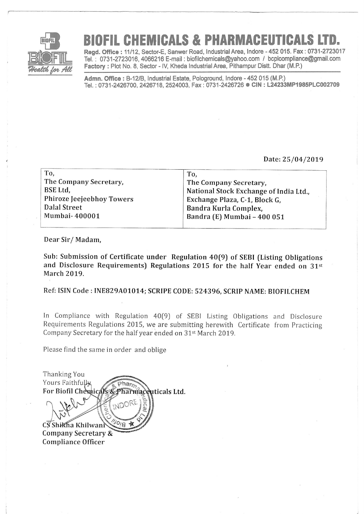

## FIL CHEMICALS & PHARMACEUTICALS

Regd. Office: 11/12, Sector-E, Sanwer Road, Industrial Area, Indore - 452 015, Fax: 0731-2723017 Tel. : 0731-2723016,4066216 E-mail : biofilchemicals@yahoo.com / bcplcompliance@gmail,com Factory : Plot No. 8, Sector - IV, Kheda Industrial Area, Pithampur Distt. Dhar (M.P.)

Admn. Office : B-12/B, Industrial Estate, Pologround, Indore - 452 015 (M.P.) Tel.: 0731-2426700, 2426718, 2524003, Fax: 0731-2426726 CIN: L24233MP1985PLC002709

## Date:25/04/2079

| To,                              | To,                                    |
|----------------------------------|----------------------------------------|
| The Company Secretary,           | The Company Secretary,                 |
| BSE Ltd.                         | National Stock Exchange of India Ltd., |
| <b>Phiroze Jeejeebhoy Towers</b> | Exchange Plaza, C-1, Block G,          |
| Dalal Street                     | Bandra Kurla Complex,                  |
| Mumbai-400001                    | Bandra (E) Mumbai - 400 051            |
|                                  |                                        |

Dear Sir/ Madam,

Sub: Submission of Certificate under Regulation 40(9) of SEBI (Listing Obligations and Disclosure Requirements) Regulations 2015 for the half Year ended on  $31^{st}$ March 2019.

Ref: ISIN Code : INEB29A01014; SCRIPE CoDE: 524396, SCRIP NAME: BIoFILCHEM

In Compliance with Regulation 40[9) of SEBI Listing Obligations and Disclosure Requirements Regulations 2015, we are submitting herewith Certificate from Practicing Company Secretary for the half year ended on  $31<sup>st</sup>$  March 2019.

Please find the same in order and oblige

Thanking You Yours Faithfully For Biofil Chemicals & Pharmaceuticals Ltd. C<sub>S</sub>Shikha Khilwan gryth-

Company Secretary & Compliance Officer